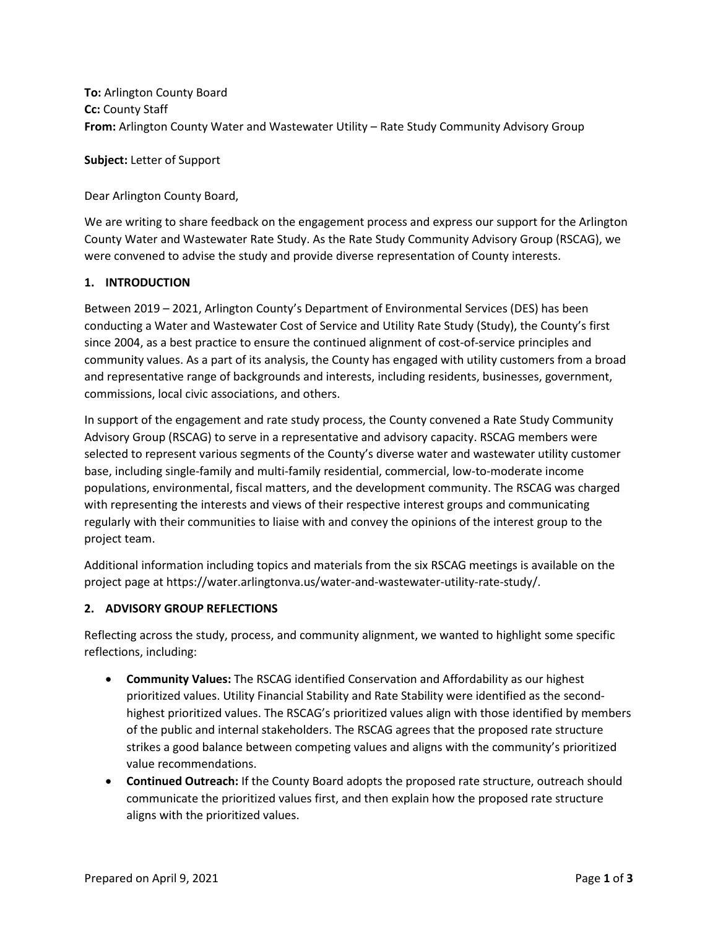**To:** Arlington County Board **Cc:** County Staff **From:** Arlington County Water and Wastewater Utility – Rate Study Community Advisory Group

**Subject:** Letter of Support

Dear Arlington County Board,

We are writing to share feedback on the engagement process and express our support for the Arlington County Water and Wastewater Rate Study. As the Rate Study Community Advisory Group (RSCAG), we were convened to advise the study and provide diverse representation of County interests.

## **1. INTRODUCTION**

Between 2019 – 2021, Arlington County's Department of Environmental Services (DES) has been conducting a Water and Wastewater Cost of Service and Utility Rate Study (Study), the County's first since 2004, as a best practice to ensure the continued alignment of cost-of-service principles and community values. As a part of its analysis, the County has engaged with utility customers from a broad and representative range of backgrounds and interests, including residents, businesses, government, commissions, local civic associations, and others.

In support of the engagement and rate study process, the County convened a Rate Study Community Advisory Group (RSCAG) to serve in a representative and advisory capacity. RSCAG members were selected to represent various segments of the County's diverse water and wastewater utility customer base, including single-family and multi-family residential, commercial, low-to-moderate income populations, environmental, fiscal matters, and the development community. The RSCAG was charged with representing the interests and views of their respective interest groups and communicating regularly with their communities to liaise with and convey the opinions of the interest group to the project team.

Additional information including topics and materials from the six RSCAG meetings is available on the project page at https://water.arlingtonva.us/water-and-wastewater-utility-rate-study/.

## **2. ADVISORY GROUP REFLECTIONS**

Reflecting across the study, process, and community alignment, we wanted to highlight some specific reflections, including:

- **Community Values:** The RSCAG identified Conservation and Affordability as our highest prioritized values. Utility Financial Stability and Rate Stability were identified as the secondhighest prioritized values. The RSCAG's prioritized values align with those identified by members of the public and internal stakeholders. The RSCAG agrees that the proposed rate structure strikes a good balance between competing values and aligns with the community's prioritized value recommendations.
- **Continued Outreach:** If the County Board adopts the proposed rate structure, outreach should communicate the prioritized values first, and then explain how the proposed rate structure aligns with the prioritized values.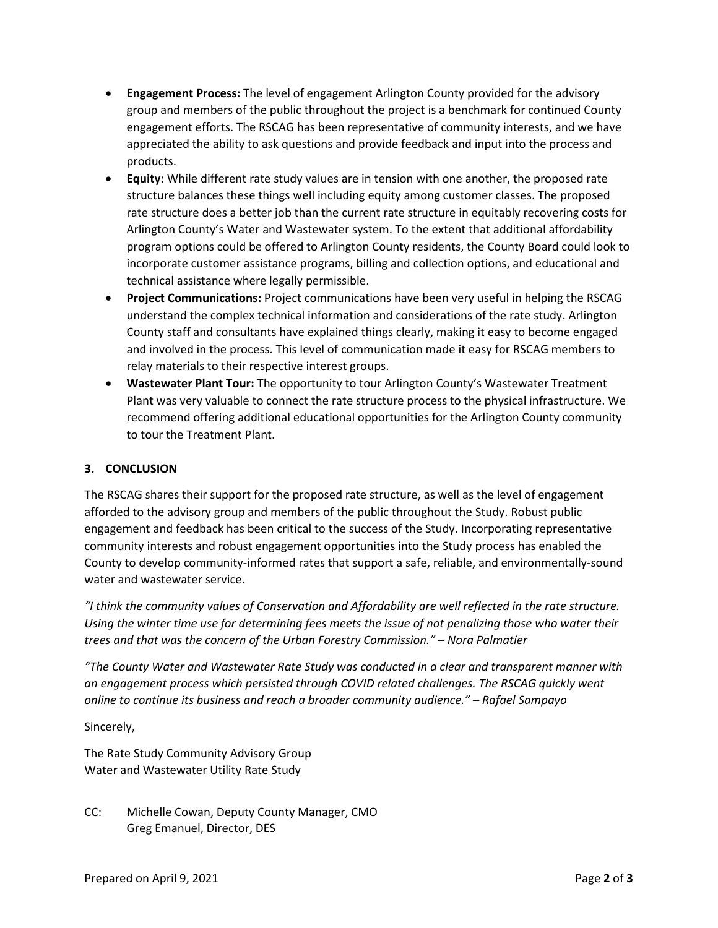- **Engagement Process:** The level of engagement Arlington County provided for the advisory group and members of the public throughout the project is a benchmark for continued County engagement efforts. The RSCAG has been representative of community interests, and we have appreciated the ability to ask questions and provide feedback and input into the process and products.
- **Equity:** While different rate study values are in tension with one another, the proposed rate structure balances these things well including equity among customer classes. The proposed rate structure does a better job than the current rate structure in equitably recovering costs for Arlington County's Water and Wastewater system. To the extent that additional affordability program options could be offered to Arlington County residents, the County Board could look to incorporate customer assistance programs, billing and collection options, and educational and technical assistance where legally permissible.
- **Project Communications:** Project communications have been very useful in helping the RSCAG understand the complex technical information and considerations of the rate study. Arlington County staff and consultants have explained things clearly, making it easy to become engaged and involved in the process. This level of communication made it easy for RSCAG members to relay materials to their respective interest groups.
- **Wastewater Plant Tour:** The opportunity to tour Arlington County's Wastewater Treatment Plant was very valuable to connect the rate structure process to the physical infrastructure. We recommend offering additional educational opportunities for the Arlington County community to tour the Treatment Plant.

## **3. CONCLUSION**

The RSCAG shares their support for the proposed rate structure, as well as the level of engagement afforded to the advisory group and members of the public throughout the Study. Robust public engagement and feedback has been critical to the success of the Study. Incorporating representative community interests and robust engagement opportunities into the Study process has enabled the County to develop community-informed rates that support a safe, reliable, and environmentally-sound water and wastewater service.

*"I think the community values of Conservation and Affordability are well reflected in the rate structure. Using the winter time use for determining fees meets the issue of not penalizing those who water their trees and that was the concern of the Urban Forestry Commission." – Nora Palmatier*

*"The County Water and Wastewater Rate Study was conducted in a clear and transparent manner with an engagement process which persisted through COVID related challenges. The RSCAG quickly went online to continue its business and reach a broader community audience." – Rafael Sampayo*

Sincerely,

The Rate Study Community Advisory Group Water and Wastewater Utility Rate Study

CC: Michelle Cowan, Deputy County Manager, CMO Greg Emanuel, Director, DES